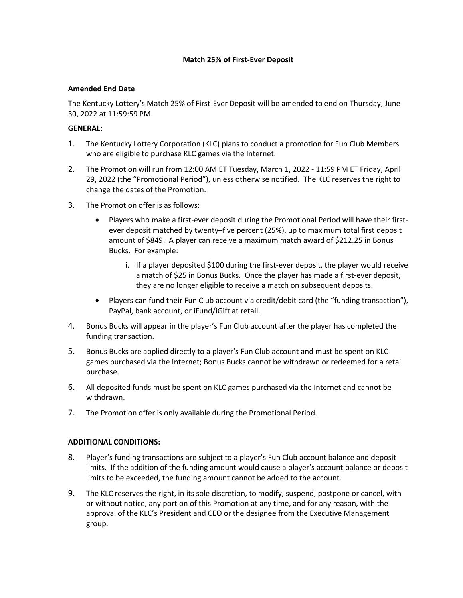# **Match 25% of First-Ever Deposit**

### **Amended End Date**

The Kentucky Lottery's Match 25% of First-Ever Deposit will be amended to end on Thursday, June 30, 2022 at 11:59:59 PM.

### **GENERAL:**

- 1. The Kentucky Lottery Corporation (KLC) plans to conduct a promotion for Fun Club Members who are eligible to purchase KLC games via the Internet.
- 2. The Promotion will run from 12:00 AM ET Tuesday, March 1, 2022 11:59 PM ET Friday, April 29, 2022 (the "Promotional Period"), unless otherwise notified. The KLC reserves the right to change the dates of the Promotion.
- 3. The Promotion offer is as follows:
	- Players who make a first-ever deposit during the Promotional Period will have their firstever deposit matched by twenty–five percent (25%), up to maximum total first deposit amount of \$849. A player can receive a maximum match award of \$212.25 in Bonus Bucks. For example:
		- i. If a player deposited \$100 during the first-ever deposit, the player would receive a match of \$25 in Bonus Bucks. Once the player has made a first-ever deposit, they are no longer eligible to receive a match on subsequent deposits.
	- Players can fund their Fun Club account via credit/debit card (the "funding transaction"), PayPal, bank account, or iFund/iGift at retail.
- 4. Bonus Bucks will appear in the player's Fun Club account after the player has completed the funding transaction.
- 5. Bonus Bucks are applied directly to a player's Fun Club account and must be spent on KLC games purchased via the Internet; Bonus Bucks cannot be withdrawn or redeemed for a retail purchase.
- 6. All deposited funds must be spent on KLC games purchased via the Internet and cannot be withdrawn.
- 7. The Promotion offer is only available during the Promotional Period.

# **ADDITIONAL CONDITIONS:**

- 8. Player's funding transactions are subject to a player's Fun Club account balance and deposit limits. If the addition of the funding amount would cause a player's account balance or deposit limits to be exceeded, the funding amount cannot be added to the account.
- 9. The KLC reserves the right, in its sole discretion, to modify, suspend, postpone or cancel, with or without notice, any portion of this Promotion at any time, and for any reason, with the approval of the KLC's President and CEO or the designee from the Executive Management group.